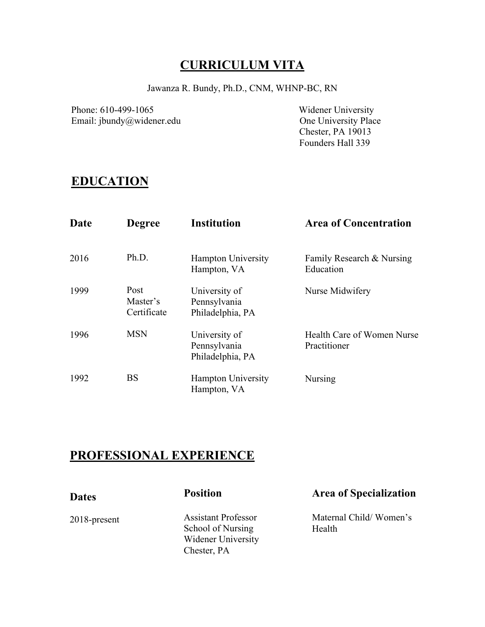# **CURRICULUM VITA**

Jawanza R. Bundy, Ph.D., CNM, WHNP-BC, RN

Phone: 610-499-1065<br>
Email: jbundy@widener.edu<br>
One University Place Email: jbundy@widener.edu

 Chester, PA 19013 Founders Hall 339

# **EDUCATION**

| <b>Date</b> | <b>Degree</b>                   | <b>Institution</b>                                | <b>Area of Concentration</b>               |
|-------------|---------------------------------|---------------------------------------------------|--------------------------------------------|
| 2016        | Ph.D.                           | <b>Hampton University</b><br>Hampton, VA          | Family Research & Nursing<br>Education     |
| 1999        | Post<br>Master's<br>Certificate | University of<br>Pennsylvania<br>Philadelphia, PA | Nurse Midwifery                            |
| 1996        | <b>MSN</b>                      | University of<br>Pennsylvania<br>Philadelphia, PA | Health Care of Women Nurse<br>Practitioner |
| 1992        | <b>BS</b>                       | <b>Hampton University</b><br>Hampton, VA          | Nursing                                    |

# **PROFESSIONAL EXPERIENCE**

| <b>Dates</b>    | <b>Position</b>                                 | <b>Area of Specialization</b>    |
|-----------------|-------------------------------------------------|----------------------------------|
| $2018$ -present | <b>Assistant Professor</b><br>School of Nursing | Maternal Child/Women's<br>Health |
|                 | Widener University                              |                                  |
|                 | Chester, PA                                     |                                  |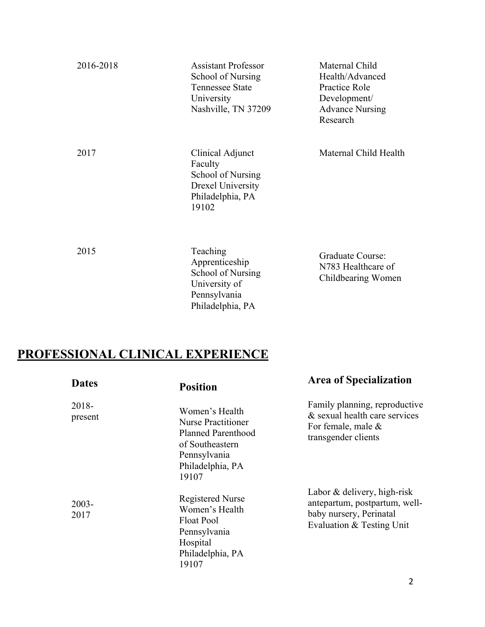| 2016-2018 | Assistant Professor<br>School of Nursing<br><b>Tennessee State</b><br>University<br>Nashville, TN 37209   | Maternal Child<br>Health/Advanced<br>Practice Role<br>Development/<br><b>Advance Nursing</b><br>Research |
|-----------|-----------------------------------------------------------------------------------------------------------|----------------------------------------------------------------------------------------------------------|
| 2017      | Clinical Adjunct<br>Faculty<br>School of Nursing<br><b>Drexel University</b><br>Philadelphia, PA<br>19102 | Maternal Child Health                                                                                    |
| 2015      | Teaching<br>Apprenticeship<br>School of Nursing<br>University of<br>Pennsylvania<br>Philadelphia, PA      | Graduate Course:<br>N783 Healthcare of<br>Childbearing Women                                             |

# **PROFESSIONAL CLINICAL EXPERIENCE**

| <b>Dates</b>     | <b>Position</b>                                                                                                                   | <b>Area of Specialization</b>                                                                                        |
|------------------|-----------------------------------------------------------------------------------------------------------------------------------|----------------------------------------------------------------------------------------------------------------------|
| 2018-<br>present | Women's Health<br>Nurse Practitioner<br><b>Planned Parenthood</b><br>of Southeastern<br>Pennsylvania<br>Philadelphia, PA<br>19107 | Family planning, reproductive<br>& sexual health care services<br>For female, male $\&$<br>transgender clients       |
| $2003 -$<br>2017 | <b>Registered Nurse</b><br>Women's Health<br><b>Float Pool</b><br>Pennsylvania<br>Hospital<br>Philadelphia, PA<br>19107           | Labor & delivery, high-risk<br>antepartum, postpartum, well-<br>baby nursery, Perinatal<br>Evaluation & Testing Unit |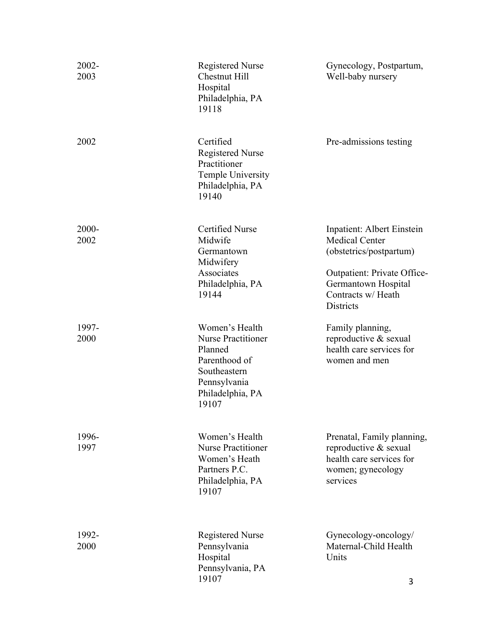| 2002-<br>2003 | <b>Registered Nurse</b><br><b>Chestnut Hill</b><br>Hospital<br>Philadelphia, PA<br>19118                                             | Gynecology, Postpartum,<br>Well-baby nursery                                                                                                                                   |
|---------------|--------------------------------------------------------------------------------------------------------------------------------------|--------------------------------------------------------------------------------------------------------------------------------------------------------------------------------|
| 2002          | Certified<br><b>Registered Nurse</b><br>Practitioner<br>Temple University<br>Philadelphia, PA<br>19140                               | Pre-admissions testing                                                                                                                                                         |
| 2000-<br>2002 | <b>Certified Nurse</b><br>Midwife<br>Germantown<br>Midwifery<br>Associates<br>Philadelphia, PA<br>19144                              | Inpatient: Albert Einstein<br><b>Medical Center</b><br>(obstetrics/postpartum)<br>Outpatient: Private Office-<br>Germantown Hospital<br>Contracts w/ Heath<br><b>Districts</b> |
| 1997-<br>2000 | Women's Health<br><b>Nurse Practitioner</b><br>Planned<br>Parenthood of<br>Southeastern<br>Pennsylvania<br>Philadelphia, PA<br>19107 | Family planning,<br>reproductive & sexual<br>health care services for<br>women and men                                                                                         |
| 1996-<br>1997 | Women's Health<br><b>Nurse Practitioner</b><br>Women's Heath<br>Partners P.C.<br>Philadelphia, PA<br>19107                           | Prenatal, Family planning,<br>reproductive & sexual<br>health care services for<br>women; gynecology<br>services                                                               |
| 1992-<br>2000 | <b>Registered Nurse</b><br>Pennsylvania<br>Hospital<br>Pennsylvania, PA<br>19107                                                     | Gynecology-oncology/<br>Maternal-Child Health<br>Units<br>3                                                                                                                    |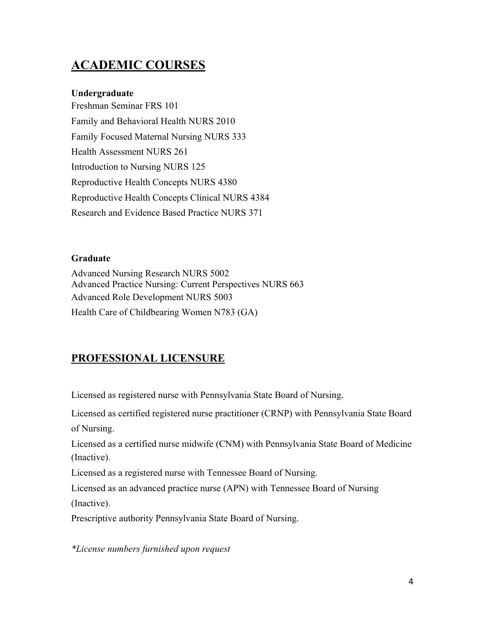# **ACADEMIC COURSES**

#### **Undergraduate**

Freshman Seminar FRS 101 Family and Behavioral Health NURS 2010 Family Focused Maternal Nursing NURS 333 Health Assessment NURS 261 Introduction to Nursing NURS 125 Reproductive Health Concepts NURS 4380 Reproductive Health Concepts Clinical NURS 4384 Research and Evidence Based Practice NURS 371

#### **Graduate**

Advanced Nursing Research NURS 5002 Advanced Practice Nursing: Current Perspectives NURS 663 Advanced Role Development NURS 5003 Health Care of Childbearing Women N783 (GA)

## **PROFESSIONAL LICENSURE**

Licensed as registered nurse with Pennsylvania State Board of Nursing.

Licensed as certified registered nurse practitioner (CRNP) with Pennsylvania State Board of Nursing.

Licensed as a certified nurse midwife (CNM) with Pennsylvania State Board of Medicine (Inactive).

Licensed as a registered nurse with Tennessee Board of Nursing.

Licensed as an advanced practice nurse (APN) with Tennessee Board of Nursing (Inactive).

Prescriptive authority Pennsylvania State Board of Nursing.

*\*License numbers furnished upon request*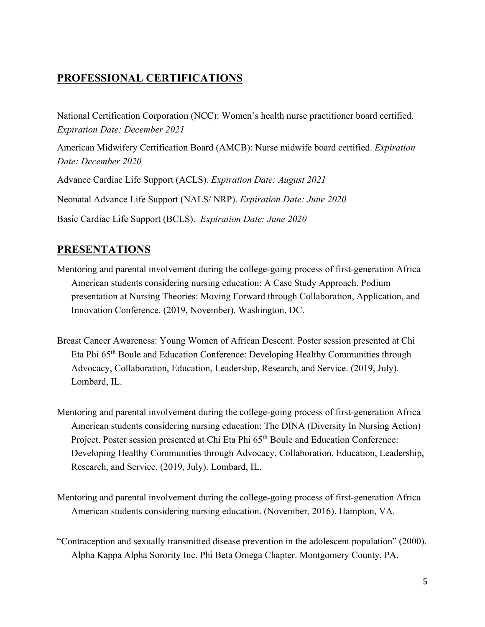## **PROFESSIONAL CERTIFICATIONS**

National Certification Corporation (NCC): Women's health nurse practitioner board certified. *Expiration Date: December 2021*

American Midwifery Certification Board (AMCB): Nurse midwife board certified. *Expiration Date: December 2020*

Advance Cardiac Life Support (ACLS). *Expiration Date: August 2021* Neonatal Advance Life Support (NALS/ NRP). *Expiration Date: June 2020* Basic Cardiac Life Support (BCLS). *Expiration Date: June 2020*

# **PRESENTATIONS**

- Mentoring and parental involvement during the college-going process of first-generation Africa American students considering nursing education: A Case Study Approach. Podium presentation at Nursing Theories: Moving Forward through Collaboration, Application, and Innovation Conference. (2019, November). Washington, DC.
- Breast Cancer Awareness: Young Women of African Descent. Poster session presented at Chi Eta Phi 65th Boule and Education Conference: Developing Healthy Communities through Advocacy, Collaboration, Education, Leadership, Research, and Service. (2019, July). Lombard, IL.
- Mentoring and parental involvement during the college-going process of first-generation Africa American students considering nursing education: The DINA (Diversity In Nursing Action) Project. Poster session presented at Chi Eta Phi 65<sup>th</sup> Boule and Education Conference: Developing Healthy Communities through Advocacy, Collaboration, Education, Leadership, Research, and Service. (2019, July). Lombard, IL.
- Mentoring and parental involvement during the college-going process of first-generation Africa American students considering nursing education. (November, 2016). Hampton, VA.
- "Contraception and sexually transmitted disease prevention in the adolescent population" (2000). Alpha Kappa Alpha Sorority Inc. Phi Beta Omega Chapter. Montgomery County, PA.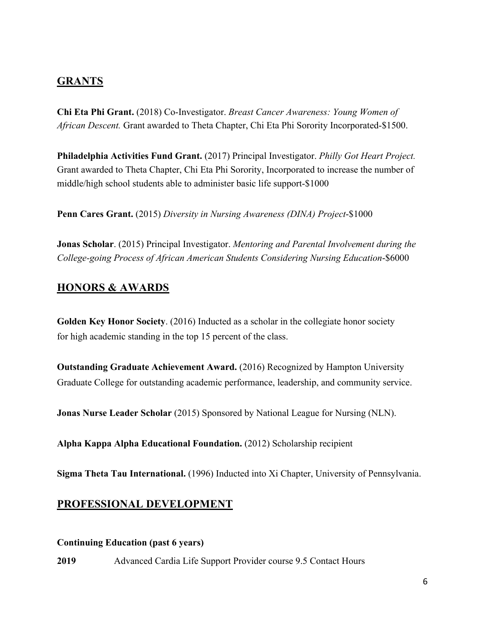### **GRANTS**

**Chi Eta Phi Grant.** (2018) Co-Investigator. *Breast Cancer Awareness: Young Women of African Descent.* Grant awarded to Theta Chapter, Chi Eta Phi Sorority Incorporated-\$1500.

**Philadelphia Activities Fund Grant.** (2017) Principal Investigator. *Philly Got Heart Project.* Grant awarded to Theta Chapter, Chi Eta Phi Sorority, Incorporated to increase the number of middle/high school students able to administer basic life support-\$1000

**Penn Cares Grant.** (2015) *Diversity in Nursing Awareness (DINA) Project*-\$1000

**Jonas Scholar**. (2015) Principal Investigator. *Mentoring and Parental Involvement during the College-going Process of African American Students Considering Nursing Education*-\$6000

### **HONORS & AWARDS**

**Golden Key Honor Society**. (2016) Inducted as a scholar in the collegiate honor society for high academic standing in the top 15 percent of the class.

**Outstanding Graduate Achievement Award.** (2016) Recognized by Hampton University Graduate College for outstanding academic performance, leadership, and community service.

**Jonas Nurse Leader Scholar** (2015) Sponsored by National League for Nursing (NLN).

**Alpha Kappa Alpha Educational Foundation.** (2012) Scholarship recipient

**Sigma Theta Tau International.** (1996) Inducted into Xi Chapter, University of Pennsylvania.

### **PROFESSIONAL DEVELOPMENT**

#### **Continuing Education (past 6 years)**

**2019** Advanced Cardia Life Support Provider course 9.5 Contact Hours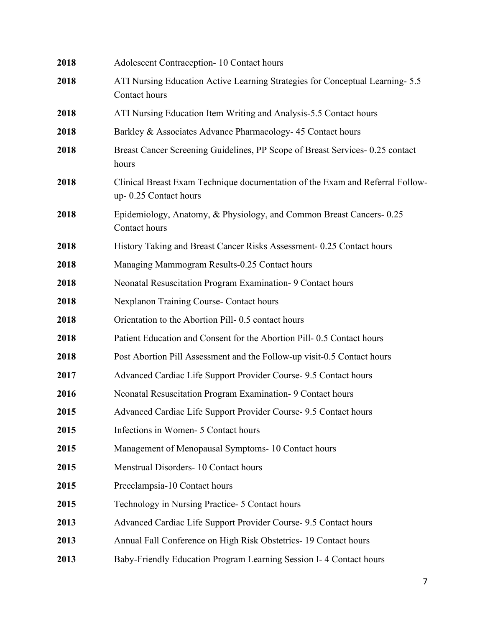| 2018 | Adolescent Contraception-10 Contact hours                                                              |
|------|--------------------------------------------------------------------------------------------------------|
| 2018 | ATI Nursing Education Active Learning Strategies for Conceptual Learning- 5.5<br>Contact hours         |
| 2018 | ATI Nursing Education Item Writing and Analysis-5.5 Contact hours                                      |
| 2018 | Barkley & Associates Advance Pharmacology- 45 Contact hours                                            |
| 2018 | Breast Cancer Screening Guidelines, PP Scope of Breast Services-0.25 contact<br>hours                  |
| 2018 | Clinical Breast Exam Technique documentation of the Exam and Referral Follow-<br>up-0.25 Contact hours |
| 2018 | Epidemiology, Anatomy, & Physiology, and Common Breast Cancers-0.25<br>Contact hours                   |
| 2018 | History Taking and Breast Cancer Risks Assessment- 0.25 Contact hours                                  |
| 2018 | Managing Mammogram Results-0.25 Contact hours                                                          |
| 2018 | Neonatal Resuscitation Program Examination- 9 Contact hours                                            |
| 2018 | Nexplanon Training Course- Contact hours                                                               |
| 2018 | Orientation to the Abortion Pill-0.5 contact hours                                                     |
| 2018 | Patient Education and Consent for the Abortion Pill-0.5 Contact hours                                  |
| 2018 | Post Abortion Pill Assessment and the Follow-up visit-0.5 Contact hours                                |
| 2017 | Advanced Cardiac Life Support Provider Course- 9.5 Contact hours                                       |
| 2016 | Neonatal Resuscitation Program Examination- 9 Contact hours                                            |
| 2015 | Advanced Cardiac Life Support Provider Course- 9.5 Contact hours                                       |
| 2015 | Infections in Women- 5 Contact hours                                                                   |
| 2015 | Management of Menopausal Symptoms- 10 Contact hours                                                    |
| 2015 | Menstrual Disorders- 10 Contact hours                                                                  |
| 2015 | Preeclampsia-10 Contact hours                                                                          |
| 2015 | Technology in Nursing Practice- 5 Contact hours                                                        |
| 2013 | Advanced Cardiac Life Support Provider Course- 9.5 Contact hours                                       |
| 2013 | Annual Fall Conference on High Risk Obstetrics- 19 Contact hours                                       |
| 2013 | Baby-Friendly Education Program Learning Session I-4 Contact hours                                     |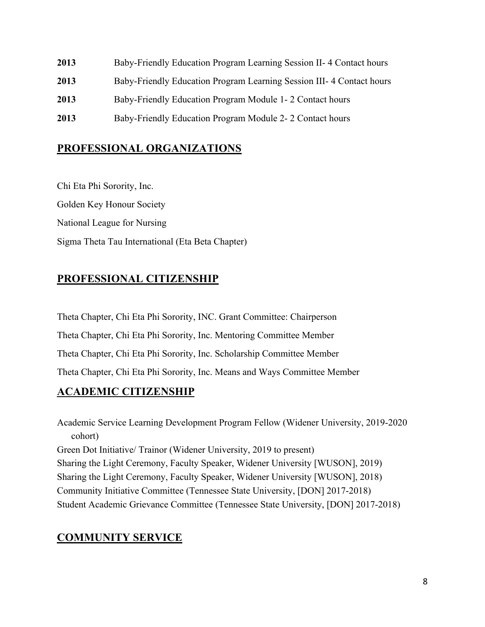- **2013** Baby-Friendly Education Program Learning Session II- 4 Contact hours
- **2013** Baby-Friendly Education Program Learning Session III- 4 Contact hours
- **2013** Baby-Friendly Education Program Module 1- 2 Contact hours
- **2013** Baby-Friendly Education Program Module 2- 2 Contact hours

## **PROFESSIONAL ORGANIZATIONS**

Chi Eta Phi Sorority, Inc. Golden Key Honour Society National League for Nursing Sigma Theta Tau International (Eta Beta Chapter)

# **PROFESSIONAL CITIZENSHIP**

Theta Chapter, Chi Eta Phi Sorority, INC. Grant Committee: Chairperson Theta Chapter, Chi Eta Phi Sorority, Inc. Mentoring Committee Member Theta Chapter, Chi Eta Phi Sorority, Inc. Scholarship Committee Member Theta Chapter, Chi Eta Phi Sorority, Inc. Means and Ways Committee Member

## **ACADEMIC CITIZENSHIP**

Academic Service Learning Development Program Fellow (Widener University, 2019-2020 cohort) Green Dot Initiative/ Trainor (Widener University, 2019 to present) Sharing the Light Ceremony, Faculty Speaker, Widener University [WUSON], 2019) Sharing the Light Ceremony, Faculty Speaker, Widener University [WUSON], 2018) Community Initiative Committee (Tennessee State University, [DON] 2017-2018) Student Academic Grievance Committee (Tennessee State University, [DON] 2017-2018)

## **COMMUNITY SERVICE**